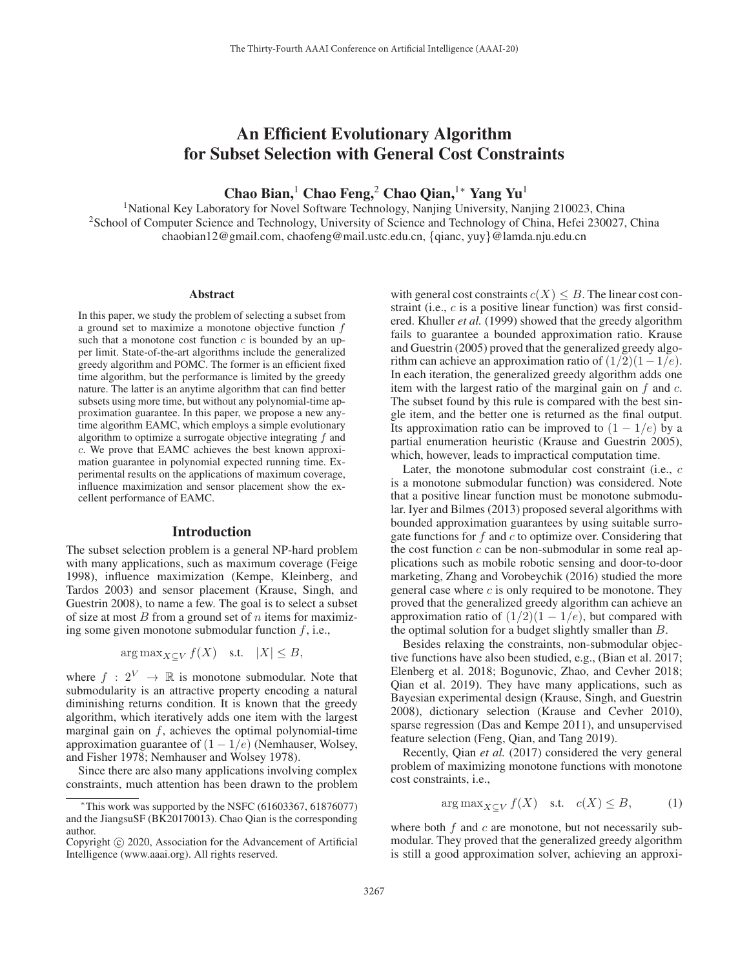# An Efficient Evolutionary Algorithm for Subset Selection with General Cost Constraints

Chao Bian,<sup>1</sup> Chao Feng,<sup>2</sup> Chao Qian,<sup>1</sup>\* Yang Yu<sup>1</sup>

<sup>1</sup>National Key Laboratory for Novel Software Technology, Nanjing University, Nanjing 210023, China 2School of Computer Science and Technology, University of Science and Technology of China, Hefei 230027, China chaobian12@gmail.com, chaofeng@mail.ustc.edu.cn, {qianc, yuy}@lamda.nju.edu.cn

#### Abstract

In this paper, we study the problem of selecting a subset from a ground set to maximize a monotone objective function  $f$ such that a monotone cost function  $c$  is bounded by an upper limit. State-of-the-art algorithms include the generalized greedy algorithm and POMC. The former is an efficient fixed time algorithm, but the performance is limited by the greedy nature. The latter is an anytime algorithm that can find better subsets using more time, but without any polynomial-time approximation guarantee. In this paper, we propose a new anytime algorithm EAMC, which employs a simple evolutionary algorithm to optimize a surrogate objective integrating  $f$  and c. We prove that EAMC achieves the best known approximation guarantee in polynomial expected running time. Experimental results on the applications of maximum coverage, influence maximization and sensor placement show the excellent performance of EAMC.

#### Introduction

The subset selection problem is a general NP-hard problem with many applications, such as maximum coverage (Feige 1998), influence maximization (Kempe, Kleinberg, and Tardos 2003) and sensor placement (Krause, Singh, and Guestrin 2008), to name a few. The goal is to select a subset of size at most  $B$  from a ground set of  $n$  items for maximizing some given monotone submodular function  $f$ , i.e.,

$$
\arg \max_{X \subseteq V} f(X) \quad \text{s.t.} \quad |X| \le B,
$$

where  $f : 2^V \rightarrow \mathbb{R}$  is monotone submodular. Note that submodularity is an attractive property encoding a natural diminishing returns condition. It is known that the greedy algorithm, which iteratively adds one item with the largest marginal gain on  $f$ , achieves the optimal polynomial-time approximation guarantee of  $(1 - 1/e)$  (Nemhauser, Wolsey, and Fisher 1978; Nemhauser and Wolsey 1978).

Since there are also many applications involving complex constraints, much attention has been drawn to the problem

with general cost constraints  $c(X) \leq B$ . The linear cost constraint (i.e., c is a positive linear function) was first considered. Khuller *et al.* (1999) showed that the greedy algorithm fails to guarantee a bounded approximation ratio. Krause and Guestrin (2005) proved that the generalized greedy algorithm can achieve an approximation ratio of  $(1/2)(1-1/e)$ . In each iteration, the generalized greedy algorithm adds one item with the largest ratio of the marginal gain on  $f$  and  $c$ . The subset found by this rule is compared with the best single item, and the better one is returned as the final output. Its approximation ratio can be improved to  $(1 - 1/e)$  by a partial enumeration heuristic (Krause and Guestrin 2005), which, however, leads to impractical computation time.

Later, the monotone submodular cost constraint (i.e., c is a monotone submodular function) was considered. Note that a positive linear function must be monotone submodular. Iyer and Bilmes (2013) proposed several algorithms with bounded approximation guarantees by using suitable surrogate functions for  $f$  and  $c$  to optimize over. Considering that the cost function  $c$  can be non-submodular in some real applications such as mobile robotic sensing and door-to-door marketing, Zhang and Vorobeychik (2016) studied the more general case where  $c$  is only required to be monotone. They proved that the generalized greedy algorithm can achieve an approximation ratio of  $(1/2)(1 - 1/e)$ , but compared with the optimal solution for a budget slightly smaller than B.

Besides relaxing the constraints, non-submodular objective functions have also been studied, e.g., (Bian et al. 2017; Elenberg et al. 2018; Bogunovic, Zhao, and Cevher 2018; Qian et al. 2019). They have many applications, such as Bayesian experimental design (Krause, Singh, and Guestrin 2008), dictionary selection (Krause and Cevher 2010), sparse regression (Das and Kempe 2011), and unsupervised feature selection (Feng, Qian, and Tang 2019).

Recently, Qian *et al.* (2017) considered the very general problem of maximizing monotone functions with monotone cost constraints, i.e.,

$$
\arg \max_{X \subseteq V} f(X) \quad \text{s.t.} \quad c(X) \le B,\tag{1}
$$

where both  $f$  and  $c$  are monotone, but not necessarily submodular. They proved that the generalized greedy algorithm is still a good approximation solver, achieving an approxi-

 $*$ This work was supported by the NSFC (61603367, 61876077) and the JiangsuSF (BK20170013). Chao Qian is the corresponding author.

Copyright  $\odot$  2020, Association for the Advancement of Artificial Intelligence (www.aaai.org). All rights reserved.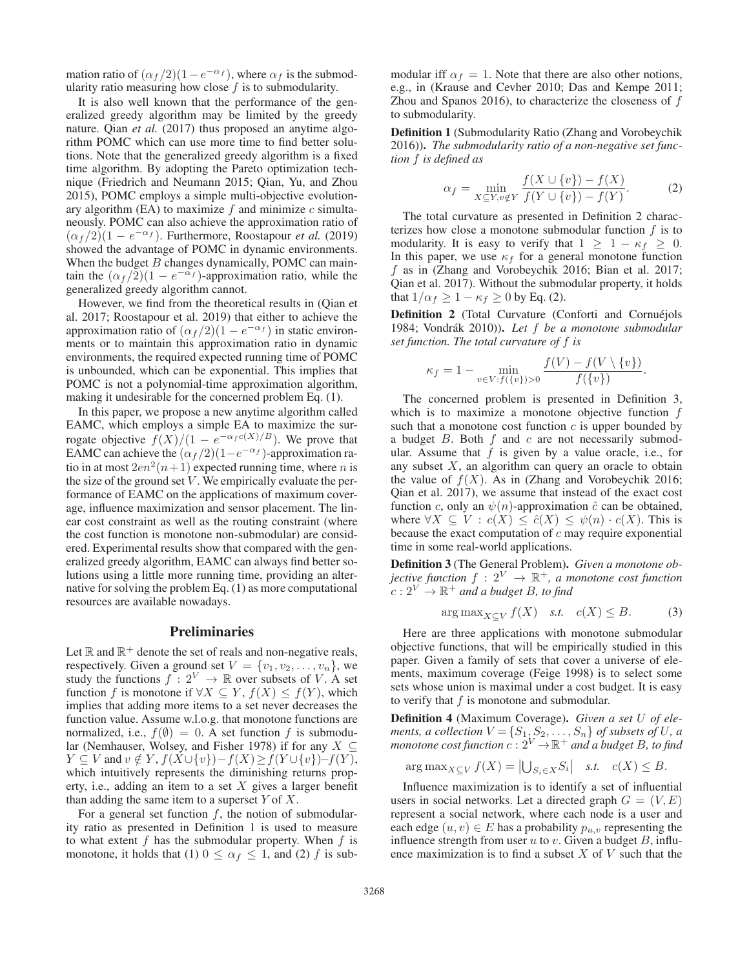mation ratio of  $(\alpha_f/2)(1-e^{-\alpha_f})$ , where  $\alpha_f$  is the submodularity ratio measuring how close  $f$  is to submodularity.

It is also well known that the performance of the generalized greedy algorithm may be limited by the greedy nature. Qian *et al.* (2017) thus proposed an anytime algorithm POMC which can use more time to find better solutions. Note that the generalized greedy algorithm is a fixed time algorithm. By adopting the Pareto optimization technique (Friedrich and Neumann 2015; Qian, Yu, and Zhou 2015), POMC employs a simple multi-objective evolutionary algorithm (EA) to maximize  $f$  and minimize  $c$  simultaneously. POMC can also achieve the approximation ratio of  $(\alpha_f/2)(1 - e^{-\alpha_f})$ . Furthermore, Roostapour *et al.* (2019) showed the advantage of POMC in dynamic environments. When the budget  $B$  changes dynamically, POMC can maintain the  $(\alpha_f/2)(1 - e^{-\alpha_f})$ -approximation ratio, while the generalized greedy algorithm cannot.

However, we find from the theoretical results in (Qian et al. 2017; Roostapour et al. 2019) that either to achieve the approximation ratio of  $(\alpha_f/2)(1 - e^{-\alpha_f})$  in static environments or to maintain this approximation ratio in dynamic environments, the required expected running time of POMC is unbounded, which can be exponential. This implies that POMC is not a polynomial-time approximation algorithm, making it undesirable for the concerned problem Eq. (1).

In this paper, we propose a new anytime algorithm called EAMC, which employs a simple EA to maximize the surrogate objective  $f(X)/(1 - e^{-\alpha_f c(X)/B})$ . We prove that EAMC can achieve the  $(\alpha_f/2)(1-e^{-\alpha_f})$ -approximation ratio in at most  $2en^2(n+1)$  expected running time, where *n* is the size of the ground set  $V$ . We empirically evaluate the performance of EAMC on the applications of maximum coverage, influence maximization and sensor placement. The linear cost constraint as well as the routing constraint (where the cost function is monotone non-submodular) are considered. Experimental results show that compared with the generalized greedy algorithm, EAMC can always find better solutions using a little more running time, providing an alternative for solving the problem Eq. (1) as more computational resources are available nowadays.

# Preliminaries

Let  $\mathbb R$  and  $\mathbb R^+$  denote the set of reals and non-negative reals, respectively. Given a ground set  $V = \{v_1, v_2, \ldots, v_n\}$ , we study the functions  $f : 2^V \rightarrow \mathbb{R}$  over subsets of V A set study the functions  $f : 2^V \to \mathbb{R}$  over subsets of V. A set<br>function f is monotone if  $\forall X \subseteq Y$   $f(X) \leq f(Y)$  which function f is monotone if  $\forall X \subseteq Y$ ,  $f(X) \leq f(Y)$ , which implies that adding more items to a set never decreases the function value. Assume w.l.o.g. that monotone functions are normalized, i.e.,  $f(\emptyset)=0$ . A set function f is submodular (Nemhauser, Wolsey, and Fisher 1978) if for any  $X \subseteq$  $Y \subseteq V$  and  $v \notin Y$ ,  $f(X \cup \{v\}) - f(X) \ge f(Y \cup \{v\}) - f(Y)$ , which intuitively represents the diminishing returns property, i.e., adding an item to a set  $X$  gives a larger benefit than adding the same item to a superset  $Y$  of  $X$ .

For a general set function  $f$ , the notion of submodularity ratio as presented in Definition 1 is used to measure to what extent  $f$  has the submodular property. When  $f$  is monotone, it holds that (1)  $0 \leq \alpha_f \leq 1$ , and (2) f is submodular iff  $\alpha_f = 1$ . Note that there are also other notions, e.g., in (Krause and Cevher 2010; Das and Kempe 2011; Zhou and Spanos 2016), to characterize the closeness of  $f$ to submodularity.

Definition 1 (Submodularity Ratio (Zhang and Vorobeychik 2016)). *The submodularity ratio of a non-negative set function* f *is defined as*

$$
\alpha_f = \min_{X \subseteq Y, v \notin Y} \frac{f(X \cup \{v\}) - f(X)}{f(Y \cup \{v\}) - f(Y)}.
$$
 (2)

The total curvature as presented in Definition 2 characterizes how close a monotone submodular function  $f$  is to modularity. It is easy to verify that  $1 \geq 1 - \kappa_f \geq 0$ . In this paper, we use  $\kappa_f$  for a general monotone function f as in (Zhang and Vorobeychik 2016; Bian et al. 2017; Qian et al. 2017). Without the submodular property, it holds that  $1/\alpha_f \geq 1 - \kappa_f \geq 0$  by Eq. (2).

Definition 2 (Total Curvature (Conforti and Cornuéjols 1984; Vondrák 2010)). Let f be a monotone submodular *set function. The total curvature of* f *is*

$$
\kappa_f = 1 - \min_{v \in V: f(\{v\}) > 0} \frac{f(V) - f(V \setminus \{v\})}{f(\{v\})}.
$$

The concerned problem is presented in Definition 3, which is to maximize a monotone objective function f such that a monotone cost function  $c$  is upper bounded by a budget  $B$ . Both  $f$  and  $c$  are not necessarily submodular. Assume that  $f$  is given by a value oracle, i.e., for any subset  $X$ , an algorithm can query an oracle to obtain the value of  $f(X)$ . As in (Zhang and Vorobeychik 2016; Qian et al. 2017), we assume that instead of the exact cost function c, only an  $\psi(n)$ -approximation  $\hat{c}$  can be obtained, where  $\forall X \subseteq V : c(X) \leq \hat{c}(X) \leq \psi(n) \cdot c(X)$ . This is because the exact computation of  $c$  may require exponential time in some real-world applications.

Definition 3 (The General Problem). *Given a monotone objective function*  $f : 2^V \rightarrow \mathbb{R}^+$ , a monotone cost function  $c: 2^V \rightarrow \mathbb{R}^+$  and a budget B, to find

$$
\arg \max_{X \subseteq V} f(X) \quad \text{s.t.} \quad c(X) \le B. \tag{3}
$$

Here are three applications with monotone submodular objective functions, that will be empirically studied in this paper. Given a family of sets that cover a universe of elements, maximum coverage (Feige 1998) is to select some sets whose union is maximal under a cost budget. It is easy to verify that  $f$  is monotone and submodular.

Definition 4 (Maximum Coverage). *Given a set* U *of elements, a collection*  $V = \{S_1, S_2, \ldots, S_n\}$  *of subsets of* U, a *monotone cost function*  $c : 2^V \rightarrow \mathbb{R}^+$  *and a budget* B *to find monotone cost function*  $c: 2^V \to \mathbb{R}^+$  *and a budget B, to find* 

$$
\arg \max_{X \subseteq V} f(X) = \left| \bigcup_{S_i \in X} S_i \right| \quad \text{s.t.} \quad c(X) \leq B.
$$

Influence maximization is to identify a set of influential users in social networks. Let a directed graph  $G = (V, E)$ represent a social network, where each node is a user and each edge  $(u, v) \in E$  has a probability  $p_{u,v}$  representing the influence strength from user  $u$  to  $v$ . Given a budget  $B$ , influence maximization is to find a subset  $X$  of  $V$  such that the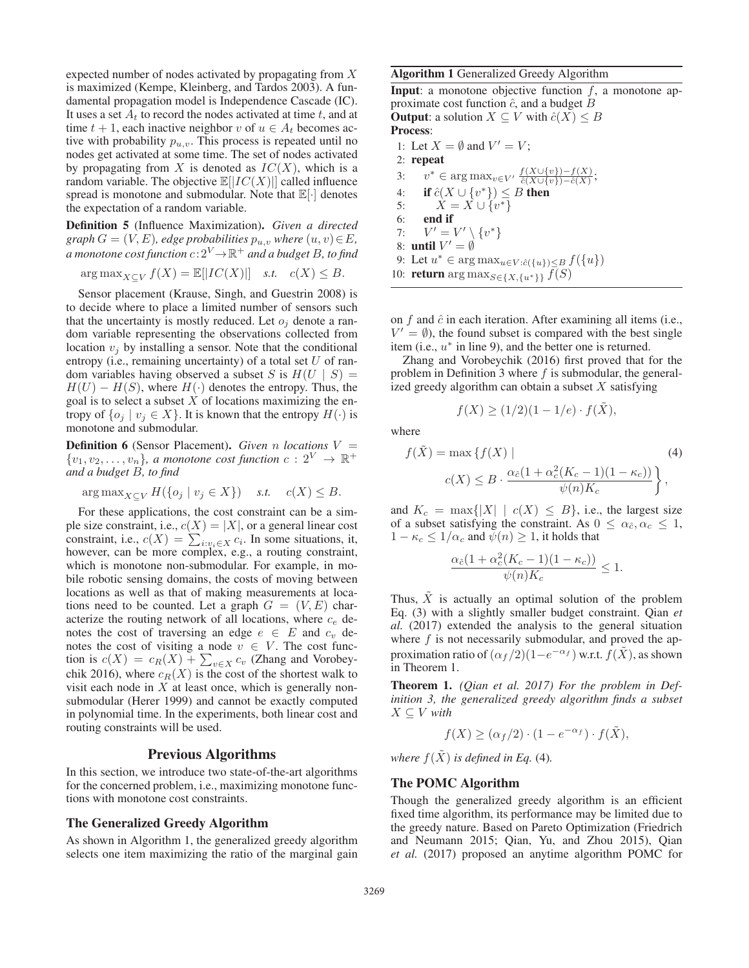expected number of nodes activated by propagating from X is maximized (Kempe, Kleinberg, and Tardos 2003). A fundamental propagation model is Independence Cascade (IC). It uses a set  $A_t$  to record the nodes activated at time t, and at time  $t + 1$ , each inactive neighbor v of  $u \in A_t$  becomes active with probability  $p_{u,v}$ . This process is repeated until no nodes get activated at some time. The set of nodes activated by propagating from X is denoted as  $IC(X)$ , which is a random variable. The objective  $\mathbb{E}[|IC(X)|]$  called influence spread is monotone and submodular. Note that  $\mathbb{E}[\cdot]$  denotes the expectation of a random variable.

Definition 5 (Influence Maximization). *Given a directed graph*  $G = (V, E)$ *, edge probabilities*  $p_{u,v}$  *where*  $(u, v) \in E$ *, a* monotone cost function  $c: 2^V \rightarrow \mathbb{R}^+$  and a budget B, to find

$$
\arg \max_{X \subseteq V} f(X) = \mathbb{E}[|IC(X)|] \quad \text{s.t.} \quad c(X) \leq B.
$$

Sensor placement (Krause, Singh, and Guestrin 2008) is to decide where to place a limited number of sensors such that the uncertainty is mostly reduced. Let  $o_i$  denote a random variable representing the observations collected from location  $v_i$  by installing a sensor. Note that the conditional entropy (i.e., remaining uncertainty) of a total set  $U$  of random variables having observed a subset S is  $H(U \mid S) =$  $H(U) - H(S)$ , where  $H(\cdot)$  denotes the entropy. Thus, the goal is to select a subset  $X$  of locations maximizing the entropy of  $\{o_i | v_i \in X\}$ . It is known that the entropy  $H(\cdot)$  is monotone and submodular.

**Definition 6** (Sensor Placement). *Given* n *locations*  $V = \{y_1, y_2, \ldots, y_k\}$  a monotone cost function  $c : 2^V \rightarrow \mathbb{R}^+$  $\{v_1, v_2, \ldots, v_n\}$ , a monotone cost function  $c: 2^V \to \mathbb{R}^+$ <br>and a budget B to find *and a budget* B*, to find*

$$
\arg \max_{X \subseteq V} H(\{o_j \mid v_j \in X\}) \quad \text{s.t.} \quad c(X) \leq B.
$$

For these applications, the cost constraint can be a simple size constraint, i.e.,  $c(X) = |X|$ , or a general linear cost constraint, i.e.,  $c(X) = \sum_{i:v_i \in X} c_i$ . In some situations, it,<br>however, can be more complex e.g. a routing constraint however, can be more complex, e.g., a routing constraint, which is monotone non-submodular. For example, in mobile robotic sensing domains, the costs of moving between locations as well as that of making measurements at locations need to be counted. Let a graph  $G = (V, E)$  characterize the routing network of all locations, where  $c_e$  denotes the cost of traversing an edge  $e \in E$  and  $c_v$  denotes the cost of visiting a node  $v \in V$ . The cost function is  $c(X) = c_R(X) + \sum_{v \in X} c_v$  (Zhang and Vorobey-<br>chik 2016) where  $c_R(X)$  is the cost of the shortest walk to chik 2016), where  $c_R(X)$  is the cost of the shortest walk to visit each node in  $X$  at least once, which is generally nonsubmodular (Herer 1999) and cannot be exactly computed in polynomial time. In the experiments, both linear cost and routing constraints will be used.

### Previous Algorithms

In this section, we introduce two state-of-the-art algorithms for the concerned problem, i.e., maximizing monotone functions with monotone cost constraints.

## The Generalized Greedy Algorithm

As shown in Algorithm 1, the generalized greedy algorithm selects one item maximizing the ratio of the marginal gain

#### Algorithm 1 Generalized Greedy Algorithm

**Input**: a monotone objective function  $f$ , a monotone approximate cost function  $\hat{c}$ , and a budget  $\hat{B}$ **Output:** a solution  $X \subseteq V$  with  $\hat{c}(X) \leq B$ Process: 1: Let  $X = \emptyset$  and  $V' = V$ ; 2: repeat 3:  $v^* \in \arg \max_{v \in V'} \frac{f(X \cup \{v\}) - f(X)}{\hat{c}(X \cup \{v\}) - \hat{c}(X)};$ 4: **if**  $\hat{c}(X \cup \{v^*\}) \leq B$  then<br>5:  $X = X \cup \{v^*\}$ 5:  $X = X \cup \{v^*\}$ <br>6: **end if** end if 7:  $V' = V' \setminus \{v^*\}$ 8: until  $V' = \emptyset$ 

9: Let  $u^* \in \arg \max_{u \in V : \hat{c}(\{u\}) \leq B} f(\{u\})$ 

10: **return** arg max $s \in \{X, \{u^*\}\}\$  f(S)

on  $f$  and  $\hat{c}$  in each iteration. After examining all items (i.e.,  $V' = \emptyset$ , the found subset is compared with the best single item (i.e.,  $u^*$  in line 9), and the better one is returned.

Zhang and Vorobeychik (2016) first proved that for the problem in Definition 3 where  $f$  is submodular, the generalized greedy algorithm can obtain a subset  $X$  satisfying

$$
f(X) \ge (1/2)(1 - 1/e) \cdot f(X),
$$

where

$$
f(\tilde{X}) = \max \{ f(X) \mid
$$
  
\n
$$
c(X) \leq B \cdot \frac{\alpha_{\hat{c}}(1 + \alpha_c^2(K_c - 1)(1 - \kappa_c))}{\psi(n)K_c} \},
$$
\n(4)

and  $K_c = \max\{|X| \mid c(X) \leq B\}$ , i.e., the largest size of a subset satisfying the constraint. As  $0 \leq \alpha_{\hat{c}}, \alpha_c \leq 1$ ,  $1 - \kappa_c \leq 1/\alpha_c$  and  $\psi(n) \geq 1$ , it holds that

$$
\frac{\alpha_{\hat{c}}(1+\alpha_c^2(K_c-1)(1-\kappa_c))}{\psi(n)K_c} \le 1.
$$

Thus,  $\tilde{X}$  is actually an optimal solution of the problem Eq. (3) with a slightly smaller budget constraint. Qian *et al.* (2017) extended the analysis to the general situation where  $f$  is not necessarily submodular, and proved the approximation ratio of  $(\alpha_f / 2)(1-e^{-\alpha_f})$  w.r.t.  $f(\tilde{X})$ , as shown in Theorem 1.

Theorem 1. *(Qian et al. 2017) For the problem in Definition 3, the generalized greedy algorithm finds a subset*  $X \subseteq V$  *with* 

$$
f(X) \ge (\alpha_f/2) \cdot (1 - e^{-\alpha_f}) \cdot f(\tilde{X}),
$$

*where*  $f(\tilde{X})$  *is defined in Eq.* (4)*.* 

#### The POMC Algorithm

Though the generalized greedy algorithm is an efficient fixed time algorithm, its performance may be limited due to the greedy nature. Based on Pareto Optimization (Friedrich and Neumann 2015; Qian, Yu, and Zhou 2015), Qian *et al.* (2017) proposed an anytime algorithm POMC for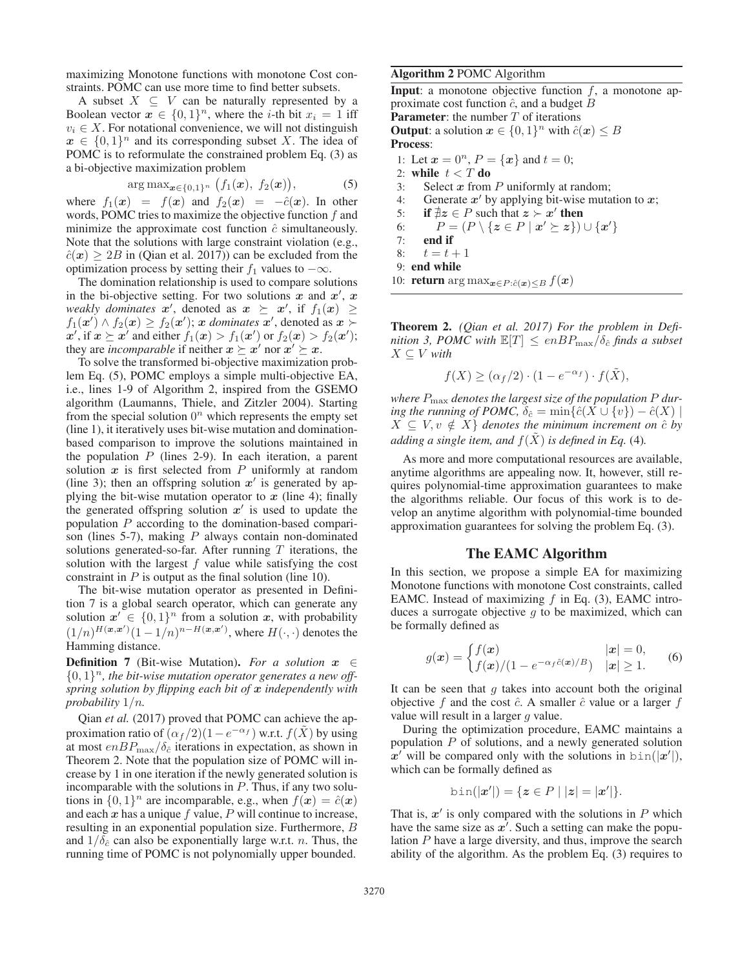maximizing Monotone functions with monotone Cost constraints. POMC can use more time to find better subsets.

A subset  $X \subseteq V$  can be naturally represented by a Boolean vector  $x \in \{0,1\}^n$ , where the *i*-th bit  $x_i = 1$  iff  $v_i \in X$ . For notational convenience, we will not distinguish  $x \in \{0,1\}^n$  and its corresponding subset X. The idea of POMC is to reformulate the constrained problem Eq. (3) as a bi-objective maximization problem

$$
\arg \max_{\boldsymbol{x} \in \{0,1\}^n} \big(f_1(\boldsymbol{x}), f_2(\boldsymbol{x})\big), \qquad (5)
$$

where  $f_1(x) = f(x)$  and  $f_2(x) = -\hat{c}(x)$ . In other<br>words POMC tries to maximize the objective function f and words, POMC tries to maximize the objective function  $f$  and minimize the approximate cost function  $\hat{c}$  simultaneously. Note that the solutions with large constraint violation (e.g.,  $\hat{c}(\mathbf{x}) \geq 2B$  in (Qian et al. 2017)) can be excluded from the optimization process by setting their  $f_1$  values to  $-\infty$ .

The domination relationship is used to compare solutions in the bi-objective setting. For two solutions  $x$  and  $x'$ ,  $x$ *weakly dominates*  $x'$ , denoted as  $x \succeq x'$ , if  $f_1(x) \geq$ <br> $f_1(x') \wedge f_2(x) > f_2(x')$ ; *x dominates*  $x'$  denoted as  $x \succeq$  $f_1(x') \wedge f_2(x) \ge f_2(x')$ ; *x dominates x'*, denoted as  $x \succ x'$  if  $x \succ x'$  and either  $f_1(x) > f_1(x')$  or  $f_2(x) > f_2(x')$ .  $x'$ , if  $x \geq x'$  and either  $f_1(x) > f_1(x')$  or  $f_2(x) > f_2(x')$ ;<br>they are *incomparable* if peither  $x \geq x'$  nor  $x' \geq x$ they are *incomparable* if neither  $x \succeq x'$  nor  $x' \succeq x$ .

To solve the transformed bi-objective maximization problem Eq. (5), POMC employs a simple multi-objective EA, i.e., lines 1-9 of Algorithm 2, inspired from the GSEMO algorithm (Laumanns, Thiele, and Zitzler 2004). Starting from the special solution  $0^n$  which represents the empty set (line 1), it iteratively uses bit-wise mutation and dominationbased comparison to improve the solutions maintained in the population  $P$  (lines 2-9). In each iteration, a parent solution  $x$  is first selected from  $P$  uniformly at random (line 3); then an offspring solution  $x'$  is generated by applying the bit-wise mutation operator to  $x$  (line 4); finally the generated offspring solution  $x'$  is used to update the population P according to the domination-based comparison (lines 5-7), making  $P$  always contain non-dominated solutions generated-so-far. After running  $T$  iterations, the solution with the largest  $f$  value while satisfying the cost constraint in  $P$  is output as the final solution (line 10).

The bit-wise mutation operator as presented in Definition 7 is a global search operator, which can generate any solution  $x' \in \{0,1\}^n$  from a solution *x*, with probability  $(1/n)^{H(\mathbf{x}, \mathbf{x}')}(1 - 1/n)^{n-H(\mathbf{x}, \mathbf{x}')}$ , where  $H(\cdot, \cdot)$  denotes the Hamming distance Hamming distance.

**Definition** 7 (Bit-wise Mutation). *For a solution*  $x \in$  $\{0,1\}^n$ , the bit-wise mutation operator generates a new off*spring solution by flipping each bit of x independently with probability* 1/n*.*

Qian *et al.* (2017) proved that POMC can achieve the approximation ratio of  $(\alpha_f/2)(1-e^{-\alpha_f})$  w.r.t.  $f(\tilde{X})$  by using at most  $enBP_{\text{max}}/\delta_{\hat{c}}$  iterations in expectation, as shown in Theorem 2. Note that the population size of POMC will increase by 1 in one iteration if the newly generated solution is incomparable with the solutions in  $P$ . Thus, if any two solutions in  $\{0, 1\}^n$  are incomparable, e.g., when  $f(x) = \hat{c}(x)$ and each  $x$  has a unique  $f$  value,  $P$  will continue to increase, resulting in an exponential population size. Furthermore, B and  $1/\delta_{\hat{c}}$  can also be exponentially large w.r.t. *n*. Thus, the running time of POMC is not polynomially upper bounded.

### Algorithm 2 POMC Algorithm

**Input**: a monotone objective function  $f$ , a monotone approximate cost function  $\hat{c}$ , and a budget B **Parameter:** the number  $T$  of iterations **Output:** a solution  $x \in \{0, 1\}^n$  with  $\hat{c}(x) \leq B$ Process: 1: Let  $x = 0^n$ ,  $P = \{x\}$  and  $t = 0$ ; 2: while  $t < T$  do 3: Select  $x$  from  $P$  uniformly at random;<br>4: Generate  $x'$  by applying bit-wise muta Generate  $x'$  by applying bit-wise mutation to  $x$ ; 5: if  $\sharp z \in P$  such that  $z \succ x'$  then

6:  $P = (P \setminus \{z \in P \mid x' \succeq z\}) \cup \{x'\}$ <br>7. **end if** 7: end if

8:  $t = t + 1$ <br>9: **end while** 

 $X \subseteq V$  with

10: **return** arg max<sub> $x \in P: \hat{c}(x) \leq B$   $f(x)$ </sub>

Theorem 2. *(Qian et al. 2017) For the problem in Definition 3, POMC with*  $\mathbb{E}[T] \le enBP_{\text{max}}/\delta_{\hat{c}}$  *finds a subset* 

$$
f(X) \ge (\alpha_f/2) \cdot (1 - e^{-\alpha_f}) \cdot f(\tilde{X}),
$$

*where* Pmax *denotes the largest size of the population* P *during the running of POMC,*  $\delta_{\hat{c}} = \min \{ \hat{c}(X \cup \{v\}) - \hat{c}(X) \mid$  $X \subseteq V, v \notin X$  *denotes the minimum increment on*  $\hat{c}$  *by adding a single item, and*  $f(X)$  *is defined in Eq.* (4)*.* 

As more and more computational resources are available, anytime algorithms are appealing now. It, however, still requires polynomial-time approximation guarantees to make the algorithms reliable. Our focus of this work is to develop an anytime algorithm with polynomial-time bounded approximation guarantees for solving the problem Eq. (3).

## The EAMC Algorithm

In this section, we propose a simple EA for maximizing Monotone functions with monotone Cost constraints, called EAMC. Instead of maximizing  $f$  in Eq. (3), EAMC introduces a surrogate objective  $g$  to be maximized, which can be formally defined as

$$
g(\boldsymbol{x}) = \begin{cases} f(\boldsymbol{x}) & |\boldsymbol{x}| = 0, \\ f(\boldsymbol{x})/(1 - e^{-\alpha_f \hat{c}(\boldsymbol{x})/B}) & |\boldsymbol{x}| \ge 1. \end{cases}
$$
 (6)

It can be seen that  $g$  takes into account both the original objective f and the cost  $\hat{c}$ . A smaller  $\hat{c}$  value or a larger f value will result in a larger q value.

During the optimization procedure, EAMC maintains a population  $P$  of solutions, and a newly generated solution  $x'$  will be compared only with the solutions in  $\text{bin}(|x'|)$ , which can be formally defined as which can be formally defined as

$$
bin(|x'|) = \{ z \in P \mid |z| = |x'| \}.
$$

That is,  $x'$  is only compared with the solutions in  $P$  which have the same size as  $x'$ . Such a setting can make the population P have a large diversity, and thus, improve the search ability of the algorithm. As the problem Eq. (3) requires to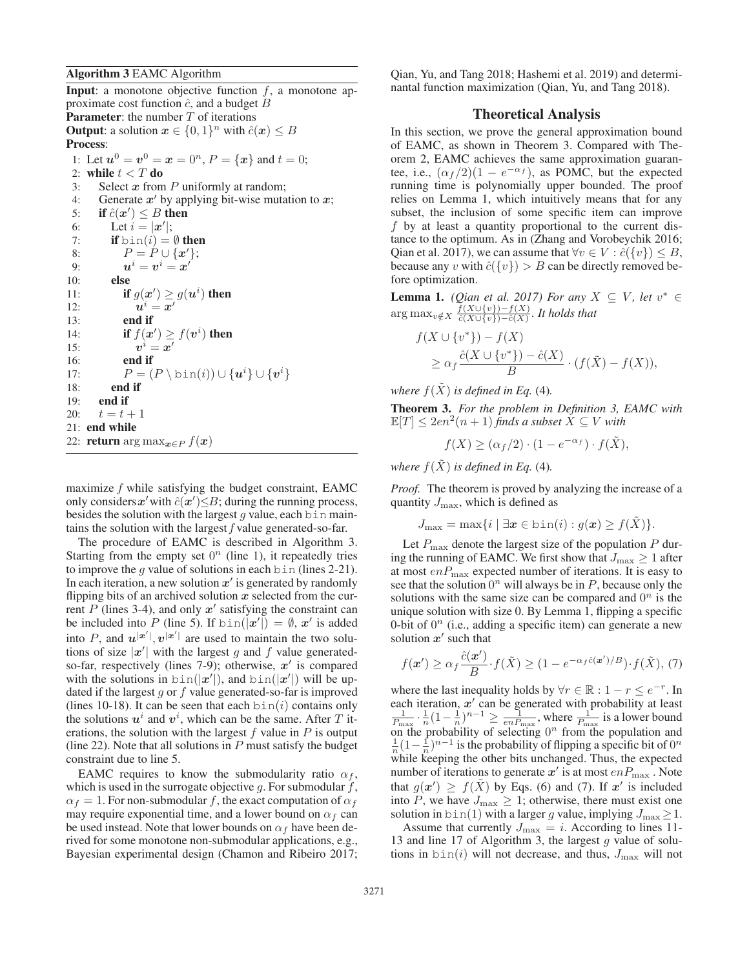## Algorithm 3 EAMC Algorithm

**Input**: a monotone objective function  $f$ , a monotone approximate cost function  $\hat{c}$ , and a budget B **Parameter:** the number  $T$  of iterations **Output:** a solution  $x \in \{0, 1\}^n$  with  $\hat{c}(x) \leq B$ Process: 1: Let  $u^0 = v^0 = x = 0^n$ ,  $P = \{x\}$  and  $t = 0$ ; 2: while  $t < T$  do 3: Select *x* from P uniformly at random; 4: Generate  $x'$  by applying bit-wise mutation to  $x$ ; 5: **if**  $\hat{c}(\mathbf{x}') \leq B$  **then**<br>6: Let  $i = |\mathbf{x}'|$ . 6: Let  $i = |\mathbf{x}'|$ ;<br>7: **if** bin(i) = 7: **if**  $\text{bin}(i) = \emptyset$  **then**<br>8:  $P = P \cup \{x'\};$ 8:  $P = P \cup \{x'\};$ <br>9.  $n^i = n^i = x'$ 9:  $u^i = v^i = x'$  $10:$ 11: **if**  $g(x') \ge g(u^i)$  then<br>  $u^i = x'$ 12:  $u^i = x'$ <br>
13: **end if** end if 14: **if**  $f(\boldsymbol{x}') \ge f(\boldsymbol{v}^i)$  then<br>
15:  $\boldsymbol{v}^i = \boldsymbol{x}'$ 15:  $v^i = x'$ <br>16: **end if** 16: end if 17:  $P = (P \setminus \text{bin}(i)) \cup \{u^i\} \cup \{v^i\}$ <br>18: **end if** 18: end if 19: end if 20:  $t = t + 1$ <br>21: **end while** 22: **return** arg max<sub>*x*∈P</sub>  $f(x)$ 

maximize  $f$  while satisfying the budget constraint, EAMC only considers  $x'$  with  $\hat{c}(x') \leq B$ ; during the running process, besides the solution with the largest *a* value, each b i n mainbesides the solution with the largest  $g$  value, each bin maintains the solution with the largest  $f$  value generated-so-far.

The procedure of EAMC is described in Algorithm 3. Starting from the empty set  $0<sup>n</sup>$  (line 1), it repeatedly tries to improve the q value of solutions in each  $bin$  (lines 2-21). In each iteration, a new solution  $x'$  is generated by randomly flipping bits of an archived solution *x* selected from the current P (lines 3-4), and only  $x'$  satisfying the constraint can be included into P (line 5). If  $\text{bin}(|x'|) = \emptyset$ , *x'* is added<br>into P and  $u^{|x'|}$  and  $x'|$  are used to maintain the two soluinto P, and  $u^{|\mathbf{x}'|}$ ,  $v^{|\mathbf{x}'|}$  are used to maintain the two solutions of size  $|x'|$  with the largest g and f value generatedso-far, respectively (lines 7-9); otherwise, *x'* is compared with the solutions in  $\frac{\sin(\vert x'\vert)}{\vert x' \vert}$ , and  $\frac{\sin(\vert x'\vert)}{\vert x' \vert}$  will be up-<br>dated if the largest q or f value generated-so-far is improved dated if the largest  $g$  or  $f$  value generated-so-far is improved (lines 10-18). It can be seen that each  $\sin(i)$  contains only the solutions  $u^i$  and  $v^i$ , which can be the same. After T iterations, the solution with the largest  $f$  value in  $P$  is output (line 22). Note that all solutions in  $P$  must satisfy the budget constraint due to line 5.

EAMC requires to know the submodularity ratio  $\alpha_f$ , which is used in the surrogate objective g. For submodular  $f$ ,  $\alpha_f = 1$ . For non-submodular f, the exact computation of  $\alpha_f$ may require exponential time, and a lower bound on  $\alpha_f$  can be used instead. Note that lower bounds on  $\alpha_f$  have been derived for some monotone non-submodular applications, e.g., Bayesian experimental design (Chamon and Ribeiro 2017;

Qian, Yu, and Tang 2018; Hashemi et al. 2019) and determinantal function maximization (Qian, Yu, and Tang 2018).

### Theoretical Analysis

In this section, we prove the general approximation bound of EAMC, as shown in Theorem 3. Compared with Theorem 2, EAMC achieves the same approximation guarantee, i.e.,  $(\alpha_f/2)(1 - e^{-\alpha_f})$ , as POMC, but the expected running time is polynomially upper bounded. The proof relies on Lemma 1, which intuitively means that for any subset, the inclusion of some specific item can improve  $f$  by at least a quantity proportional to the current distance to the optimum. As in (Zhang and Vorobeychik 2016; Qian et al. 2017), we can assume that  $\forall v \in V : \hat{c}(\{v\}) \leq B$ , because any v with  $\hat{c}(\{v\}) > B$  can be directly removed before optimization.

**Lemma 1.** *(Qian et al. 2017) For any*  $X \subseteq V$ *, let*  $v^* \in$  $\arg \max_{v \notin X} \frac{f(X \cup \{v\}) - f(X)}{\hat{c}(X \cup \{v\}) - \hat{c}(X)}$ *. It holds that* 

$$
f(X \cup \{v^*\}) - f(X)
$$
  
\n
$$
\geq \alpha_f \frac{\hat{c}(X \cup \{v^*\}) - \hat{c}(X)}{B} \cdot (f(\tilde{X}) - f(X)),
$$

*where*  $f(\tilde{X})$  *is defined in Eq.* (4)*.* 

Theorem 3. *For the problem in Definition 3, EAMC with*  $\mathbb{E}[T] \leq 2en^2(n+1)$  *finds a subset*  $X \subseteq V$  *with* 

 $f(X) \geq (\alpha_f/2) \cdot (1 - e^{-\alpha_f}) \cdot f(\tilde{X}),$ 

*where*  $f(\tilde{X})$  *is defined in Eq.* (4)*.* 

*Proof.* The theorem is proved by analyzing the increase of a quantity  $J_{\text{max}}$ , which is defined as

$$
J_{\max} = \max\{i \mid \exists \boldsymbol{x} \in \text{bin}(i) : g(\boldsymbol{x}) \ge f(X)\}.
$$

Let  $P_{\text{max}}$  denote the largest size of the population P during the running of EAMC. We first show that  $J_{\rm max}\geq 1$  after at most  $enP_{\text{max}}$  expected number of iterations. It is easy to see that the solution  $0^n$  will always be in P, because only the solutions with the same size can be compared and  $0<sup>n</sup>$  is the unique solution with size 0. By Lemma 1, flipping a specific 0-bit of  $0<sup>n</sup>$  (i.e., adding a specific item) can generate a new solution  $x'$  such that

$$
f(\mathbf{x}') \ge \alpha_f \frac{\hat{c}(\mathbf{x}')}{B} \cdot f(\tilde{X}) \ge (1 - e^{-\alpha_f \hat{c}(\mathbf{x}')/B}) \cdot f(\tilde{X}), \tag{7}
$$

where the last inequality holds by  $\forall r \in \mathbb{R} : 1 - r \leq e^{-r}$ . In each iteration,  $x'$  can be generated with probability at least<br>  $\frac{1}{P_{\text{max}}} \cdot \frac{1}{n} (1 - \frac{1}{n})^{n-1} \ge \frac{1}{enP_{\text{max}}}$ , where  $\frac{1}{P_{\text{max}}}$  is a lower bound<br>
on the probability of selecting  $0^n$  from the population and on the probability of selecting  $0^n$  from the population and  $\frac{1}{n}(1-\frac{1}{n})^{n-1}$  is the probability of flipping a specific bit of  $0^n$ <br>while keeping the other bits unchanged. Thus, the expected while keeping the other bits unchanged. Thus, the expected number of iterations to generate  $x'$  is at most  $enP_{\text{max}}$ . Note that  $g(x') \ge f(\tilde{X})$  by Eqs. (6) and (7). If  $x'$  is included<br>into P we have  $J_{\text{max}} \ge 1$  otherwise there must exist one into P, we have  $J_{\text{max}} \geq 1$ ; otherwise, there must exist one solution in  $\sin(1)$  with a larger g value, implying  $J_{\text{max}} \geq 1$ .

Assume that currently  $J_{\text{max}} = i$ . According to lines 11-13 and line 17 of Algorithm 3, the largest  $q$  value of solutions in  $\sin(i)$  will not decrease, and thus,  $J_{\max}$  will not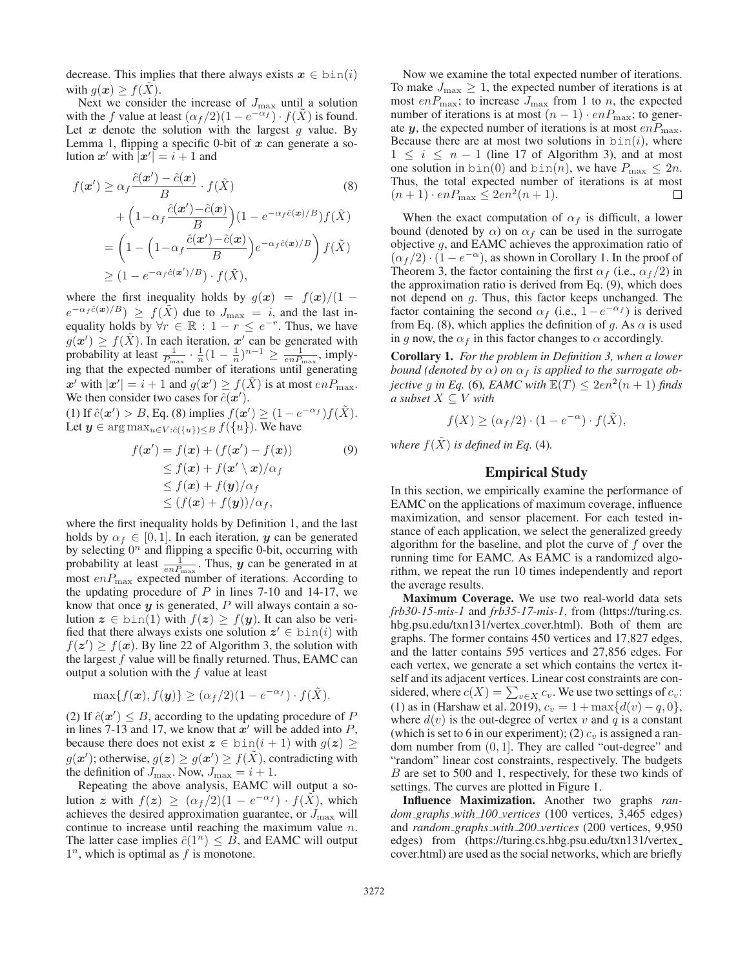decrease. This implies that there always exists  $x \in \text{bin}(i)$ with  $q(x) > f(X)$ .

Next we consider the increase of  $J_{\text{max}}$  until a solution with the f value at least  $(\alpha_f/2)(1 - e^{-\alpha_f}) \cdot f(\overline{X})$  is found. Let  $x$  denote the solution with the largest  $g$  value. By Lemma 1, flipping a specific 0-bit of *x* can generate a solution  $x'$  with  $\overline{a'} = i + 1$  and

$$
f(\mathbf{x}') \ge \alpha_f \frac{\hat{c}(\mathbf{x}') - \hat{c}(\mathbf{x})}{B} \cdot f(\tilde{X})
$$
(8)  
+  $\left(1 - \alpha_f \frac{\hat{c}(\mathbf{x}') - \hat{c}(\mathbf{x})}{B}\right) \left(1 - e^{-\alpha_f \hat{c}(\mathbf{x})/B}\right) f(\tilde{X})$   
=  $\left(1 - \left(1 - \alpha_f \frac{\hat{c}(\mathbf{x}') - \hat{c}(\mathbf{x})}{B}\right) e^{-\alpha_f \hat{c}(\mathbf{x})/B}\right) f(\tilde{X})$   
 $\ge \left(1 - e^{-\alpha_f \hat{c}(\mathbf{x}')/B}\right) \cdot f(\tilde{X}),$ 

where the first inequality holds by  $g(x) = f(x)/(1$  $e^{-\alpha_f \hat{c}(x)/B}$   $\geq f(\tilde{X})$  due to  $J_{\text{max}} = i$ , and the last inequality holds by  $\forall r \in \mathbb{R} : 1 - r \leq e^{-r}$ . Thus, we have  $g(x') \geq f(\tilde{X})$ . In each iteration,  $x'$  can be generated with  $g(x') \ge f(\tilde{X})$ . In each iteration,  $x'$  can be generated with<br>probability at least  $\frac{1}{P_{\text{max}}} \cdot \frac{1}{n} (1 - \frac{1}{n})^{n-1} \ge \frac{1}{e n P_{\text{max}}}$ , imply-<br>ing that the expected number of iterations until generating ing that the expected number of iterations until generating *x'* with  $|x'| = i + 1$  and  $g(x') \ge f(\tilde{X})$  is at most  $enP_{\text{max}}$ .<br>We then consider two cases for  $\hat{c}(x')$ We then consider two cases for  $\hat{c}(\mathbf{x}')$ .<br>
(1) If  $\hat{c}(\mathbf{x}') > B$  Eq. (8) implies  $f(\mathbf{x}')$ 

(1) If  $\hat{c}(\mathbf{x}') > B$ , Eq. (8) implies  $f(\mathbf{x}') \geq (1 - e^{-\alpha_f})f(\tilde{X})$ .<br>Let  $\mathbf{u} \in \arg \max_{\mathbf{x} \in V(\hat{z}(\{u\})) \leq B} f(\{u\})$ . We have Let  $y \in \arg \max_{u \in V : \hat{c}(\{u\}) < B} f(\{u\})$ . We have

$$
f(\mathbf{x}') = f(\mathbf{x}) + (f(\mathbf{x}') - f(\mathbf{x})) \tag{9}
$$
  
\n
$$
\leq f(\mathbf{x}) + f(\mathbf{x}' \setminus \mathbf{x}) / \alpha_f
$$
  
\n
$$
\leq f(\mathbf{x}) + f(\mathbf{y}) / \alpha_f
$$
  
\n
$$
\leq (f(\mathbf{x}) + f(\mathbf{y})) / \alpha_f,
$$

where the first inequality holds by Definition 1, and the last holds by  $\alpha_f \in [0, 1]$ . In each iteration, *y* can be generated by selecting  $0^n$  and flipping a specific 0-bit, occurring with probability at least  $\frac{1}{enP_{\text{max}}}$ . Thus, *y* can be generated in at most  $enP_{\text{max}}$  expected number of iterations. According to the updating procedure of  $P$  in lines 7-10 and 14-17, we know that once *y* is generated, P will always contain a solution  $z \in \text{bin}(1)$  with  $f(z) \geq f(y)$ . It can also be verified that there always exists one solution  $z' \in \text{bin}(i)$  with  $f(z') \ge f(x)$ . By line 22 of Algorithm 3, the solution with the largest f value will be finally returned. Thus EAMC can the largest  $f$  value will be finally returned. Thus, EAMC can output a solution with the  $f$  value at least

$$
\max\{f(\boldsymbol{x}), f(\boldsymbol{y})\} \geq (\alpha_f/2)(1 - e^{-\alpha_f}) \cdot f(\tilde{X}).
$$

(2) If  $\hat{c}(\mathbf{x}') \leq B$ , according to the updating procedure of P in lines 7-13 and 17 we know that  $\mathbf{x}'$  will be added into P in lines 7-13 and 17, we know that  $x'$  will be added into  $P$ , because there does not exist  $z \in \text{bin}(i + 1)$  with  $g(z) \ge$  $g(\mathbf{x}')$ ; otherwise,  $g(z) \ge g(\mathbf{x}') \ge f(\tilde{X})$ , contradicting with the definition of  $J_{\text{max}}$ . Now  $J_{\text{max}} = i + 1$ the definition of  $J_{\text{max}}$ . Now,  $J_{\text{max}} = i + 1$ .

Repeating the above analysis, EAMC will output a solution *z* with  $f(z) \geq (\alpha_f/2)(1 - e^{-\alpha_f}) \cdot f(X)$ , which achieves the desired approximation guarantee, or  $J_{\text{max}}$  will continue to increase until reaching the maximum value n. The latter case implies  $\hat{c}(1^n) \leq B$ , and EAMC will output  $1^n$ , which is optimal as f is monotone.

Now we examine the total expected number of iterations. To make  $J_{\text{max}} \geq 1$ , the expected number of iterations is at most  $enP_{\text{max}}$ ; to increase  $J_{\text{max}}$  from 1 to n, the expected number of iterations is at most  $(n - 1) \cdot enP_{\text{max}}$ ; to generate *y*, the expected number of iterations is at most  $enP_{\text{max}}$ . Because there are at most two solutions in  $bin(i)$ , where  $1 \leq i \leq n-1$  (line 17 of Algorithm 3), and at most one solution in  $\text{bin}(0)$  and  $\text{bin}(n)$ , we have  $P_{\text{max}} \leq 2n$ . Thus, the total expected number of iterations is at most  $(n + 1) \cdot enP_{\text{max}} \leq 2en^2(n + 1).$ П

When the exact computation of  $\alpha_f$  is difficult, a lower bound (denoted by  $\alpha$ ) on  $\alpha_f$  can be used in the surrogate objective  $q$ , and EAMC achieves the approximation ratio of  $(\alpha_f/2) \cdot (1 - e^{-\alpha})$ , as shown in Corollary 1. In the proof of Theorem 3, the factor containing the first  $\alpha_f$  (i.e.,  $\alpha_f/2$ ) in the approximation ratio is derived from Eq. (9), which does not depend on g. Thus, this factor keeps unchanged. The factor containing the second  $\alpha_f$  (i.e.,  $1-e^{-\alpha_f}$ ) is derived from Eq. (8), which applies the definition of g. As  $\alpha$  is used in g now, the  $\alpha_f$  in this factor changes to  $\alpha$  accordingly.

Corollary 1. *For the problem in Definition 3, when a lower bound (denoted by*  $\alpha$ ) *on*  $\alpha_f$  *is applied to the surrogate objective* g *in Eq.* (6)*, EAMC with*  $\mathbb{E}(T) \leq 2en^2(n+1)$  *finds a subset*  $X \subseteq V$  *with* 

 $f(X) \geq (\alpha_f/2) \cdot (1 - e^{-\alpha}) \cdot f(\tilde{X}),$ 

*where*  $f(\tilde{X})$  *is defined in Eq.* (4)*.* 

# Empirical Study

In this section, we empirically examine the performance of EAMC on the applications of maximum coverage, influence maximization, and sensor placement. For each tested instance of each application, we select the generalized greedy algorithm for the baseline, and plot the curve of  $f$  over the running time for EAMC. As EAMC is a randomized algorithm, we repeat the run 10 times independently and report the average results.

Maximum Coverage. We use two real-world data sets *frb30-15-mis-1* and *frb35-17-mis-1*, from (https://turing.cs. hbg.psu.edu/txn131/vertex\_cover.html). Both of them are graphs. The former contains 450 vertices and 17,827 edges, and the latter contains 595 vertices and 27,856 edges. For each vertex, we generate a set which contains the vertex itself and its adjacent vertices. Linear cost constraints are considered, where  $c(X) = \sum_{v \in X} c_v$ . We use two settings of  $c_v$ :<br>(1) as in (Harshaw et al. 2019),  $c_v = 1 + \max\{d(v) - a_v\}$ (1) as in (Harshaw et al. 2019),  $c_v = 1 + \max\{d(v) - q, 0\}$ , where  $d(v)$  is the out-degree of vertex v and q is a constant (which is set to 6 in our experiment); (2)  $c_v$  is assigned a random number from  $(0, 1]$ . They are called "out-degree" and "random" linear cost constraints, respectively. The budgets B are set to 500 and 1, respectively, for these two kinds of settings. The curves are plotted in Figure 1.

Influence Maximization. Another two graphs *random graphs with 100 vertices* (100 vertices, 3,465 edges) and *random graphs with 200 vertices* (200 vertices, 9,950 edges) from (https://turing.cs.hbg.psu.edu/txn131/vertex cover.html) are used as the social networks, which are briefly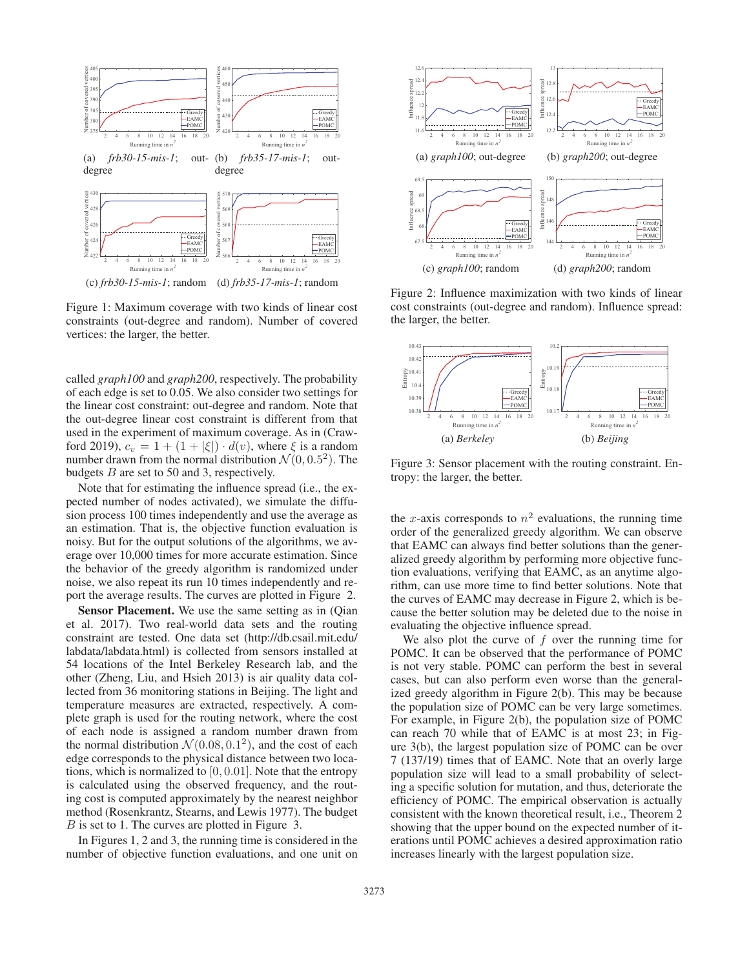

Figure 1: Maximum coverage with two kinds of linear cost constraints (out-degree and random). Number of covered vertices: the larger, the better.

called *graph100* and *graph200*, respectively. The probability of each edge is set to 0.05. We also consider two settings for the linear cost constraint: out-degree and random. Note that the out-degree linear cost constraint is different from that used in the experiment of maximum coverage. As in (Crawford 2019),  $c_v = 1 + (1 + |\xi|) \cdot d(v)$ , where  $\xi$  is a random number drawn from the normal distribution  $\mathcal{N}(0, 0.5^2)$ . The budgets B are set to 50 and 3, respectively.

Note that for estimating the influence spread (i.e., the expected number of nodes activated), we simulate the diffusion process 100 times independently and use the average as an estimation. That is, the objective function evaluation is noisy. But for the output solutions of the algorithms, we average over 10,000 times for more accurate estimation. Since the behavior of the greedy algorithm is randomized under noise, we also repeat its run 10 times independently and report the average results. The curves are plotted in Figure 2.

Sensor Placement. We use the same setting as in (Qian et al. 2017). Two real-world data sets and the routing constraint are tested. One data set (http://db.csail.mit.edu/ labdata/labdata.html) is collected from sensors installed at 54 locations of the Intel Berkeley Research lab, and the other (Zheng, Liu, and Hsieh 2013) is air quality data collected from 36 monitoring stations in Beijing. The light and temperature measures are extracted, respectively. A complete graph is used for the routing network, where the cost of each node is assigned a random number drawn from the normal distribution  $\mathcal{N}(0.08, 0.1^2)$ , and the cost of each edge corresponds to the physical distance between two locations, which is normalized to  $[0, 0.01]$ . Note that the entropy is calculated using the observed frequency, and the routing cost is computed approximately by the nearest neighbor method (Rosenkrantz, Stearns, and Lewis 1977). The budget B is set to 1. The curves are plotted in Figure 3.

In Figures 1, 2 and 3, the running time is considered in the number of objective function evaluations, and one unit on



Figure 2: Influence maximization with two kinds of linear cost constraints (out-degree and random). Influence spread: the larger, the better.



Figure 3: Sensor placement with the routing constraint. Entropy: the larger, the better.

the x-axis corresponds to  $n^2$  evaluations, the running time order of the generalized greedy algorithm. We can observe that EAMC can always find better solutions than the generalized greedy algorithm by performing more objective function evaluations, verifying that EAMC, as an anytime algorithm, can use more time to find better solutions. Note that the curves of EAMC may decrease in Figure 2, which is because the better solution may be deleted due to the noise in evaluating the objective influence spread.

We also plot the curve of  $f$  over the running time for POMC. It can be observed that the performance of POMC is not very stable. POMC can perform the best in several cases, but can also perform even worse than the generalized greedy algorithm in Figure 2(b). This may be because the population size of POMC can be very large sometimes. For example, in Figure 2(b), the population size of POMC can reach 70 while that of EAMC is at most 23; in Figure 3(b), the largest population size of POMC can be over 7 (137/19) times that of EAMC. Note that an overly large population size will lead to a small probability of selecting a specific solution for mutation, and thus, deteriorate the efficiency of POMC. The empirical observation is actually consistent with the known theoretical result, i.e., Theorem 2 showing that the upper bound on the expected number of iterations until POMC achieves a desired approximation ratio increases linearly with the largest population size.